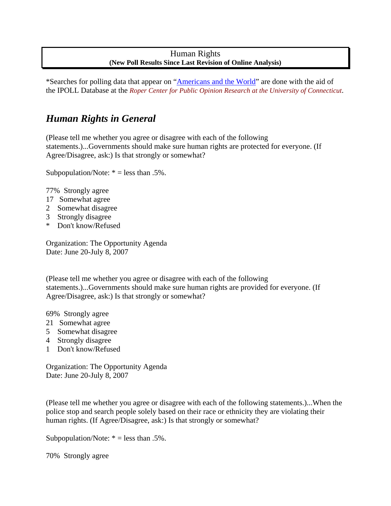# Human Rights **(New Poll Results Since Last Revision of Online Analysis)**

\*Searches for polling data that appear on "Americans and the World" are done with the aid of the IPOLL Database at the *Roper Center for Public Opinion Research at the University of Connecticut*.

# *Human Rights in General*

(Please tell me whether you agree or disagree with each of the following statements.)...Governments should make sure human rights are protected for everyone. (If Agree/Disagree, ask:) Is that strongly or somewhat?

Subpopulation/Note:  $* =$  less than .5%.

77% Strongly agree

- 17 Somewhat agree
- 2 Somewhat disagree
- 3 Strongly disagree
- \* Don't know/Refused

Organization: The Opportunity Agenda Date: June 20-July 8, 2007

(Please tell me whether you agree or disagree with each of the following statements.)...Governments should make sure human rights are provided for everyone. (If Agree/Disagree, ask:) Is that strongly or somewhat?

69% Strongly agree

- 21 Somewhat agree
- 5 Somewhat disagree
- 4 Strongly disagree
- 1 Don't know/Refused

Organization: The Opportunity Agenda Date: June 20-July 8, 2007

(Please tell me whether you agree or disagree with each of the following statements.)...When the police stop and search people solely based on their race or ethnicity they are violating their human rights. (If Agree/Disagree, ask:) Is that strongly or somewhat?

Subpopulation/Note:  $* =$  less than .5%.

70% Strongly agree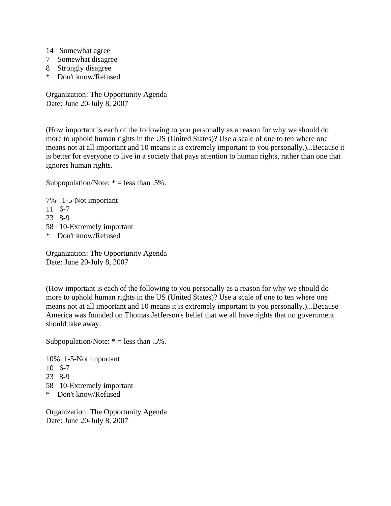- 14 Somewhat agree
- 7 Somewhat disagree
- 8 Strongly disagree
- \* Don't know/Refused

Organization: The Opportunity Agenda Date: June 20-July 8, 2007

(How important is each of the following to you personally as a reason for why we should do more to uphold human rights in the US (United States)? Use a scale of one to ten where one means not at all important and 10 means it is extremely important to you personally.)...Because it is better for everyone to live in a society that pays attention to human rights, rather than one that ignores human rights.

Subpopulation/Note:  $* =$  less than .5%.

- 7% 1-5-Not important
- 11 6-7
- 23 8-9
- 58 10-Extremely important
- \* Don't know/Refused

Organization: The Opportunity Agenda Date: June 20-July 8, 2007

(How important is each of the following to you personally as a reason for why we should do more to uphold human rights in the US (United States)? Use a scale of one to ten where one means not at all important and 10 means it is extremely important to you personally.)...Because America was founded on Thomas Jefferson's belief that we all have rights that no government should take away.

Subpopulation/Note:  $* =$  less than .5%.

10% 1-5-Not important 10 6-7 23 8-9 58 10-Extremely important \* Don't know/Refused

Organization: The Opportunity Agenda Date: June 20-July 8, 2007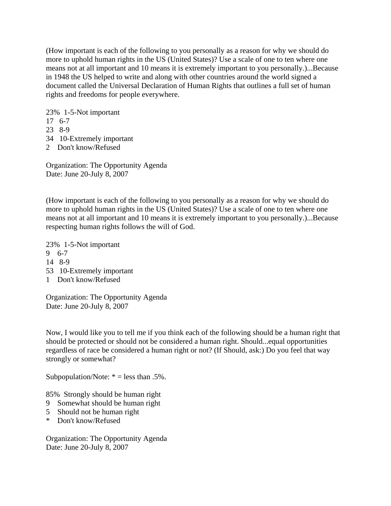(How important is each of the following to you personally as a reason for why we should do more to uphold human rights in the US (United States)? Use a scale of one to ten where one means not at all important and 10 means it is extremely important to you personally.)...Because in 1948 the US helped to write and along with other countries around the world signed a document called the Universal Declaration of Human Rights that outlines a full set of human rights and freedoms for people everywhere.

23% 1-5-Not important

17 6-7

- 23 8-9
- 34 10-Extremely important
- 2 Don't know/Refused

Organization: The Opportunity Agenda Date: June 20-July 8, 2007

(How important is each of the following to you personally as a reason for why we should do more to uphold human rights in the US (United States)? Use a scale of one to ten where one means not at all important and 10 means it is extremely important to you personally.)...Because respecting human rights follows the will of God.

23% 1-5-Not important 9 6-7 14 8-9 53 10-Extremely important 1 Don't know/Refused

Organization: The Opportunity Agenda Date: June 20-July 8, 2007

Now, I would like you to tell me if you think each of the following should be a human right that should be protected or should not be considered a human right. Should...equal opportunities regardless of race be considered a human right or not? (If Should, ask:) Do you feel that way strongly or somewhat?

Subpopulation/Note:  $* =$  less than .5%.

85% Strongly should be human right

- 9 Somewhat should be human right
- 5 Should not be human right
- \* Don't know/Refused

Organization: The Opportunity Agenda Date: June 20-July 8, 2007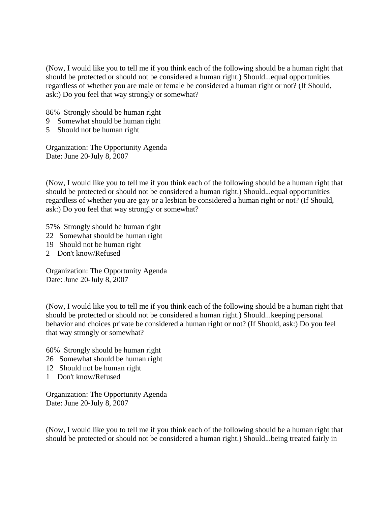(Now, I would like you to tell me if you think each of the following should be a human right that should be protected or should not be considered a human right.) Should...equal opportunities regardless of whether you are male or female be considered a human right or not? (If Should, ask:) Do you feel that way strongly or somewhat?

86% Strongly should be human right

- 9 Somewhat should be human right
- 5 Should not be human right

Organization: The Opportunity Agenda Date: June 20-July 8, 2007

(Now, I would like you to tell me if you think each of the following should be a human right that should be protected or should not be considered a human right.) Should...equal opportunities regardless of whether you are gay or a lesbian be considered a human right or not? (If Should, ask:) Do you feel that way strongly or somewhat?

57% Strongly should be human right

- 22 Somewhat should be human right
- 19 Should not be human right
- 2 Don't know/Refused

Organization: The Opportunity Agenda Date: June 20-July 8, 2007

(Now, I would like you to tell me if you think each of the following should be a human right that should be protected or should not be considered a human right.) Should...keeping personal behavior and choices private be considered a human right or not? (If Should, ask:) Do you feel that way strongly or somewhat?

60% Strongly should be human right

- 26 Somewhat should be human right
- 12 Should not be human right
- 1 Don't know/Refused

Organization: The Opportunity Agenda Date: June 20-July 8, 2007

(Now, I would like you to tell me if you think each of the following should be a human right that should be protected or should not be considered a human right.) Should...being treated fairly in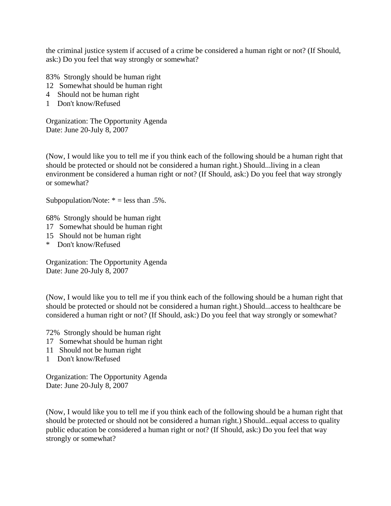the criminal justice system if accused of a crime be considered a human right or not? (If Should, ask:) Do you feel that way strongly or somewhat?

83% Strongly should be human right

- 12 Somewhat should be human right
- 4 Should not be human right
- 1 Don't know/Refused

Organization: The Opportunity Agenda Date: June 20-July 8, 2007

(Now, I would like you to tell me if you think each of the following should be a human right that should be protected or should not be considered a human right.) Should...living in a clean environment be considered a human right or not? (If Should, ask:) Do you feel that way strongly or somewhat?

Subpopulation/Note:  $* =$  less than .5%.

68% Strongly should be human right

- 17 Somewhat should be human right
- 15 Should not be human right
- \* Don't know/Refused

Organization: The Opportunity Agenda Date: June 20-July 8, 2007

(Now, I would like you to tell me if you think each of the following should be a human right that should be protected or should not be considered a human right.) Should...access to healthcare be considered a human right or not? (If Should, ask:) Do you feel that way strongly or somewhat?

72% Strongly should be human right

- 17 Somewhat should be human right
- 11 Should not be human right
- 1 Don't know/Refused

Organization: The Opportunity Agenda Date: June 20-July 8, 2007

(Now, I would like you to tell me if you think each of the following should be a human right that should be protected or should not be considered a human right.) Should...equal access to quality public education be considered a human right or not? (If Should, ask:) Do you feel that way strongly or somewhat?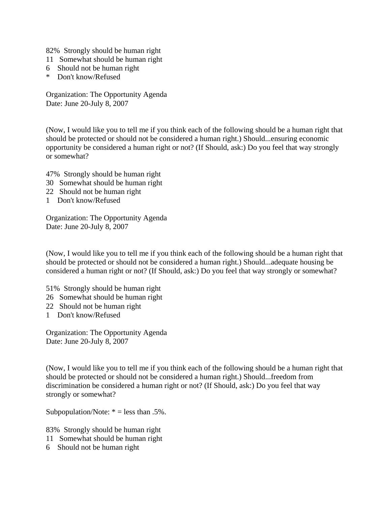82% Strongly should be human right

- 11 Somewhat should be human right
- 6 Should not be human right
- \* Don't know/Refused

Organization: The Opportunity Agenda Date: June 20-July 8, 2007

(Now, I would like you to tell me if you think each of the following should be a human right that should be protected or should not be considered a human right.) Should...ensuring economic opportunity be considered a human right or not? (If Should, ask:) Do you feel that way strongly or somewhat?

47% Strongly should be human right

- 30 Somewhat should be human right
- 22 Should not be human right
- 1 Don't know/Refused

Organization: The Opportunity Agenda Date: June 20-July 8, 2007

(Now, I would like you to tell me if you think each of the following should be a human right that should be protected or should not be considered a human right.) Should...adequate housing be considered a human right or not? (If Should, ask:) Do you feel that way strongly or somewhat?

51% Strongly should be human right

- 26 Somewhat should be human right
- 22 Should not be human right
- 1 Don't know/Refused

Organization: The Opportunity Agenda Date: June 20-July 8, 2007

(Now, I would like you to tell me if you think each of the following should be a human right that should be protected or should not be considered a human right.) Should...freedom from discrimination be considered a human right or not? (If Should, ask:) Do you feel that way strongly or somewhat?

Subpopulation/Note:  $* =$  less than .5%.

83% Strongly should be human right

11 Somewhat should be human right

6 Should not be human right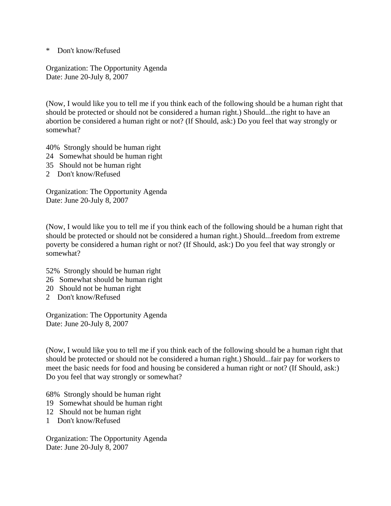\* Don't know/Refused

Organization: The Opportunity Agenda Date: June 20-July 8, 2007

(Now, I would like you to tell me if you think each of the following should be a human right that should be protected or should not be considered a human right.) Should...the right to have an abortion be considered a human right or not? (If Should, ask:) Do you feel that way strongly or somewhat?

40% Strongly should be human right

- 24 Somewhat should be human right
- 35 Should not be human right
- 2 Don't know/Refused

Organization: The Opportunity Agenda Date: June 20-July 8, 2007

(Now, I would like you to tell me if you think each of the following should be a human right that should be protected or should not be considered a human right.) Should...freedom from extreme poverty be considered a human right or not? (If Should, ask:) Do you feel that way strongly or somewhat?

- 52% Strongly should be human right
- 26 Somewhat should be human right
- 20 Should not be human right
- 2 Don't know/Refused

Organization: The Opportunity Agenda Date: June 20-July 8, 2007

(Now, I would like you to tell me if you think each of the following should be a human right that should be protected or should not be considered a human right.) Should...fair pay for workers to meet the basic needs for food and housing be considered a human right or not? (If Should, ask:) Do you feel that way strongly or somewhat?

68% Strongly should be human right

- 19 Somewhat should be human right
- 12 Should not be human right
- 1 Don't know/Refused

Organization: The Opportunity Agenda Date: June 20-July 8, 2007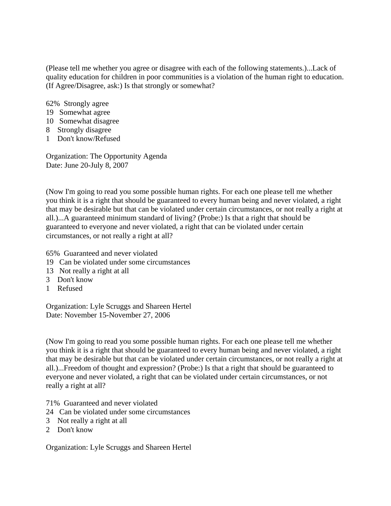(Please tell me whether you agree or disagree with each of the following statements.)...Lack of quality education for children in poor communities is a violation of the human right to education. (If Agree/Disagree, ask:) Is that strongly or somewhat?

62% Strongly agree

- 19 Somewhat agree
- 10 Somewhat disagree
- 8 Strongly disagree
- 1 Don't know/Refused

Organization: The Opportunity Agenda Date: June 20-July 8, 2007

(Now I'm going to read you some possible human rights. For each one please tell me whether you think it is a right that should be guaranteed to every human being and never violated, a right that may be desirable but that can be violated under certain circumstances, or not really a right at all.)...A guaranteed minimum standard of living? (Probe:) Is that a right that should be guaranteed to everyone and never violated, a right that can be violated under certain circumstances, or not really a right at all?

65% Guaranteed and never violated

- 19 Can be violated under some circumstances
- 13 Not really a right at all
- 3 Don't know
- 1 Refused

Organization: Lyle Scruggs and Shareen Hertel Date: November 15-November 27, 2006

(Now I'm going to read you some possible human rights. For each one please tell me whether you think it is a right that should be guaranteed to every human being and never violated, a right that may be desirable but that can be violated under certain circumstances, or not really a right at all.)...Freedom of thought and expression? (Probe:) Is that a right that should be guaranteed to everyone and never violated, a right that can be violated under certain circumstances, or not really a right at all?

71% Guaranteed and never violated

- 24 Can be violated under some circumstances
- 3 Not really a right at all
- 2 Don't know

Organization: Lyle Scruggs and Shareen Hertel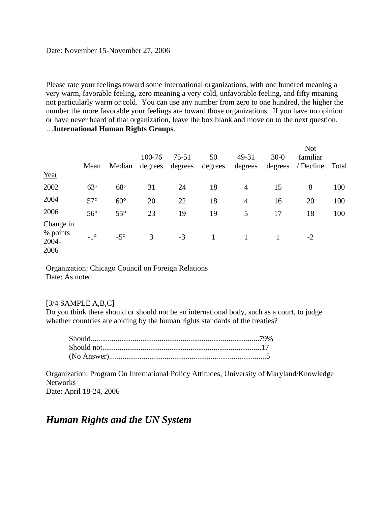#### Date: November 15-November 27, 2006

Please rate your feelings toward some international organizations, with one hundred meaning a very warm, favorable feeling, zero meaning a very cold, unfavorable feeling, and fifty meaning not particularly warm or cold. You can use any number from zero to one hundred, the higher the number the more favorable your feelings are toward those organizations. If you have no opinion or have never heard of that organization, leave the box blank and move on to the next question. …**International Human Rights Groups**.

| Year                                   | Mean         | Median       | 100-76<br>degrees | $75 - 51$<br>degrees | 50<br>degrees | 49-31<br>degrees | $30-0$<br>degrees | <b>Not</b><br>familiar<br>/ Decline | Total |
|----------------------------------------|--------------|--------------|-------------------|----------------------|---------------|------------------|-------------------|-------------------------------------|-------|
| 2002                                   | $63^\circ$   | $68^{\circ}$ | 31                | 24                   | 18            | 4                | 15                | 8                                   | 100   |
| 2004                                   | $57^\circ$   | $60^\circ$   | 20                | 22                   | 18            | $\overline{4}$   | 16                | 20                                  | 100   |
| 2006                                   | $56^{\circ}$ | $55^{\circ}$ | 23                | 19                   | 19            | 5                | 17                | 18                                  | 100   |
| Change in<br>% points<br>2004-<br>2006 | $-1^{\circ}$ | $-5^\circ$   | 3                 | $-3$                 |               |                  |                   | $-2$                                |       |

Organization: Chicago Council on Foreign Relations Date: As noted

### $[3/4$  SAMPLE A,B,C]

Do you think there should or should not be an international body, such as a court, to judge whether countries are abiding by the human rights standards of the treaties?

Organization: Program On International Policy Attitudes, University of Maryland/Knowledge **Networks** Date: April 18-24, 2006

# *Human Rights and the UN System*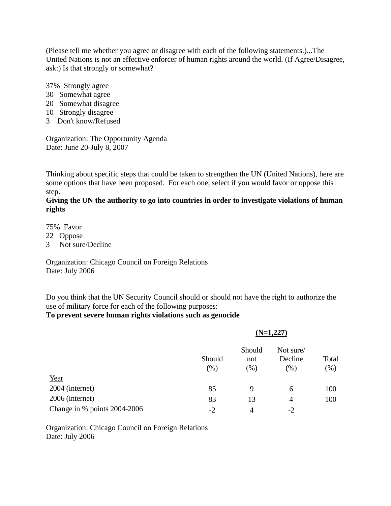(Please tell me whether you agree or disagree with each of the following statements.)...The United Nations is not an effective enforcer of human rights around the world. (If Agree/Disagree, ask:) Is that strongly or somewhat?

37% Strongly agree

- 30 Somewhat agree
- 20 Somewhat disagree
- 10 Strongly disagree
- 3 Don't know/Refused

Organization: The Opportunity Agenda Date: June 20-July 8, 2007

Thinking about specific steps that could be taken to strengthen the UN (United Nations), here are some options that have been proposed. For each one, select if you would favor or oppose this step.

## **Giving the UN the authority to go into countries in order to investigate violations of human rights**

75% Favor

- 22 Oppose
- 3 Not sure/Decline

Organization: Chicago Council on Foreign Relations Date: July 2006

Do you think that the UN Security Council should or should not have the right to authorize the use of military force for each of the following purposes:

### **To prevent severe human rights violations such as genocide**

|                              |               |                         | $(N=1,227)$                    |               |
|------------------------------|---------------|-------------------------|--------------------------------|---------------|
|                              | Should<br>(%) | Should<br>not<br>$(\%)$ | Not sure/<br>Decline<br>$(\%)$ | Total<br>(% ) |
| Year                         |               |                         |                                |               |
| 2004 (internet)              | 85            | 9                       | 6                              | 100           |
| 2006 (internet)              | 83            | 13                      | 4                              | 100           |
| Change in % points 2004-2006 | $-2$          | 4                       | $-2$                           |               |

Organization: Chicago Council on Foreign Relations Date: July 2006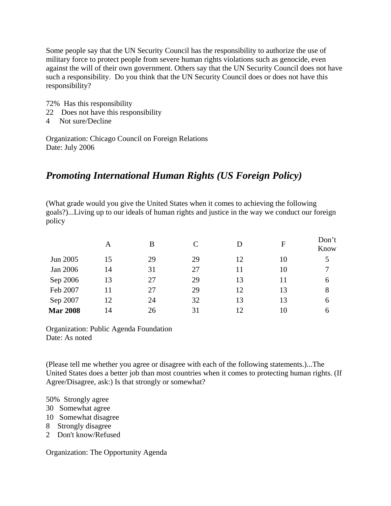Some people say that the UN Security Council has the responsibility to authorize the use of military force to protect people from severe human rights violations such as genocide, even against the will of their own government. Others say that the UN Security Council does not have such a responsibility. Do you think that the UN Security Council does or does not have this responsibility?

- 72% Has this responsibility
- 22 Does not have this responsibility
- 4 Not sure/Decline

Organization: Chicago Council on Foreign Relations Date: July 2006

# *Promoting International Human Rights (US Foreign Policy)*

(What grade would you give the United States when it comes to achieving the following goals?)...Living up to our ideals of human rights and justice in the way we conduct our foreign policy

|                 | А  | В  | $\subset$ | D  | $\mathbf{F}$ | Don't<br>Know |
|-----------------|----|----|-----------|----|--------------|---------------|
| Jun 2005        | 15 | 29 | 29        | 12 | 10           | 5             |
| Jan 2006        | 14 | 31 | 27        | 11 | 10           | 7             |
| Sep 2006        | 13 | 27 | 29        | 13 | 11           | 6             |
| Feb 2007        | 11 | 27 | 29        | 12 | 13           | 8             |
| Sep 2007        | 12 | 24 | 32        | 13 | 13           | 6             |
| <b>Mar 2008</b> | 14 | 26 | 31        | 12 | 10           | 6             |

Organization: Public Agenda Foundation Date: As noted

(Please tell me whether you agree or disagree with each of the following statements.)...The United States does a better job than most countries when it comes to protecting human rights. (If Agree/Disagree, ask:) Is that strongly or somewhat?

50% Strongly agree

- 30 Somewhat agree
- 10 Somewhat disagree
- 8 Strongly disagree
- 2 Don't know/Refused

Organization: The Opportunity Agenda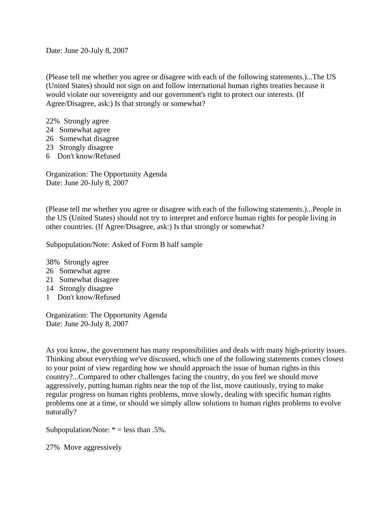Date: June 20-July 8, 2007

(Please tell me whether you agree or disagree with each of the following statements.)...The US (United States) should not sign on and follow international human rights treaties because it would violate our sovereignty and our government's right to protect our interests. (If Agree/Disagree, ask:) Is that strongly or somewhat?

- 22% Strongly agree
- 24 Somewhat agree
- 26 Somewhat disagree
- 23 Strongly disagree
- 6 Don't know/Refused

Organization: The Opportunity Agenda Date: June 20-July 8, 2007

(Please tell me whether you agree or disagree with each of the following statements.)...People in the US (United States) should not try to interpret and enforce human rights for people living in other countries. (If Agree/Disagree, ask:) Is that strongly or somewhat?

Subpopulation/Note: Asked of Form B half sample

38% Strongly agree

- 26 Somewhat agree
- 21 Somewhat disagree
- 14 Strongly disagree
- 1 Don't know/Refused

Organization: The Opportunity Agenda Date: June 20-July 8, 2007

As you know, the government has many responsibilities and deals with many high-priority issues. Thinking about everything we've discussed, which one of the following statements comes closest to your point of view regarding how we should approach the issue of human rights in this country?...Compared to other challenges facing the country, do you feel we should move aggressively, putting human rights near the top of the list, move cautiously, trying to make regular progress on human rights problems, move slowly, dealing with specific human rights problems one at a time, or should we simply allow solutions to human rights problems to evolve naturally?

Subpopulation/Note:  $* =$  less than .5%.

27% Move aggressively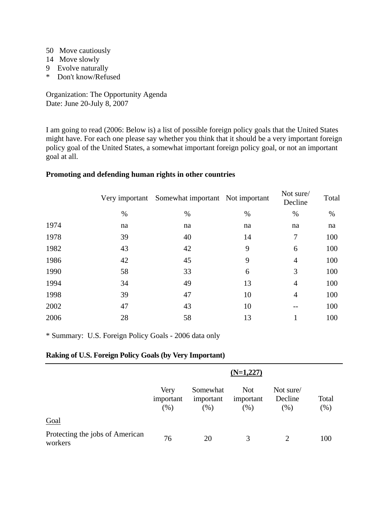- 50 Move cautiously
- 14 Move slowly
- 9 Evolve naturally
- \* Don't know/Refused

Organization: The Opportunity Agenda Date: June 20-July 8, 2007

I am going to read (2006: Below is) a list of possible foreign policy goals that the United States might have. For each one please say whether you think that it should be a very important foreign policy goal of the United States, a somewhat important foreign policy goal, or not an important goal at all.

#### **Promoting and defending human rights in other countries**

|      |    | Very important Somewhat important Not important |      | Not sure/<br>Decline | Total |
|------|----|-------------------------------------------------|------|----------------------|-------|
|      | %  | $\%$                                            | $\%$ | $\%$                 | %     |
| 1974 | na | na                                              | na   | na                   | na    |
| 1978 | 39 | 40                                              | 14   | 7                    | 100   |
| 1982 | 43 | 42                                              | 9    | 6                    | 100   |
| 1986 | 42 | 45                                              | 9    | 4                    | 100   |
| 1990 | 58 | 33                                              | 6    | 3                    | 100   |
| 1994 | 34 | 49                                              | 13   | 4                    | 100   |
| 1998 | 39 | 47                                              | 10   | $\overline{4}$       | 100   |
| 2002 | 47 | 43                                              | 10   |                      | 100   |
| 2006 | 28 | 58                                              | 13   |                      | 100   |

\* Summary: U.S. Foreign Policy Goals - 2006 data only

# **Raking of U.S. Foreign Policy Goals (by Very Important)**

|                                            | $(N=1,227)$              |                                 |                                    |                              |              |  |
|--------------------------------------------|--------------------------|---------------------------------|------------------------------------|------------------------------|--------------|--|
|                                            | Very<br>important<br>(%) | Somewhat<br>important<br>$(\%)$ | <b>Not</b><br>important<br>$(\% )$ | Not sure/<br>Decline<br>(% ) | Total<br>(%) |  |
| Goal                                       |                          |                                 |                                    |                              |              |  |
| Protecting the jobs of American<br>workers | 76                       | 20                              | 3                                  | 2                            | 100          |  |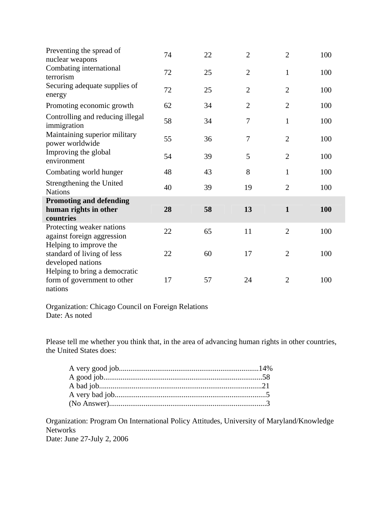| Preventing the spread of<br>nuclear weapons      | 74 | 22 | $\overline{2}$ | $\overline{2}$ | 100 |
|--------------------------------------------------|----|----|----------------|----------------|-----|
| Combating international<br>terrorism             | 72 | 25 | $\overline{2}$ | $\mathbf{1}$   | 100 |
| Securing adequate supplies of<br>energy          | 72 | 25 | $\overline{2}$ | $\overline{2}$ | 100 |
| Promoting economic growth                        | 62 | 34 | $\overline{2}$ | $\overline{2}$ | 100 |
| Controlling and reducing illegal<br>immigration  | 58 | 34 | 7              | $\mathbf{1}$   | 100 |
| Maintaining superior military<br>power worldwide | 55 | 36 | 7              | $\overline{2}$ | 100 |
| Improving the global<br>environment              | 54 | 39 | 5              | $\overline{2}$ | 100 |
| Combating world hunger                           | 48 | 43 | 8              | $\mathbf{1}$   | 100 |
| Strengthening the United<br><b>Nations</b>       | 40 | 39 | 19             | $\overline{2}$ | 100 |
| <b>Promoting and defending</b>                   |    |    |                |                |     |
| human rights in other                            | 28 | 58 | 13             | $\mathbf{1}$   | 100 |
| countries                                        |    |    |                |                |     |
| Protecting weaker nations                        | 22 | 65 | 11             | $\overline{2}$ | 100 |
| against foreign aggression                       |    |    |                |                |     |
| Helping to improve the                           |    |    | 17             | $\overline{2}$ |     |
| standard of living of less<br>developed nations  | 22 | 60 |                |                | 100 |
| Helping to bring a democratic                    |    |    |                |                |     |
| form of government to other                      | 17 | 57 | 24             | $\overline{2}$ | 100 |
| nations                                          |    |    |                |                |     |

Organization: Chicago Council on Foreign Relations Date: As noted

Please tell me whether you think that, in the area of advancing human rights in other countries, the United States does:

Organization: Program On International Policy Attitudes, University of Maryland/Knowledge Networks Date: June 27-July 2, 2006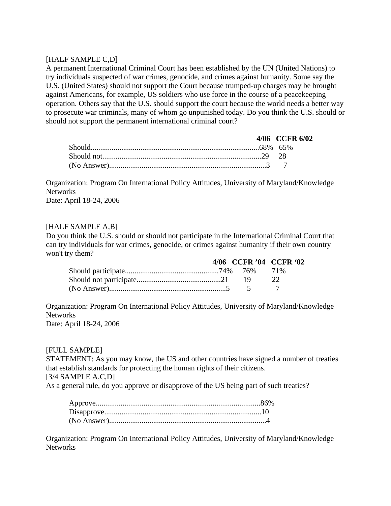# [HALF SAMPLE C,D]

A permanent International Criminal Court has been established by the UN (United Nations) to try individuals suspected of war crimes, genocide, and crimes against humanity. Some say the U.S. (United States) should not support the Court because trumped-up charges may be brought against Americans, for example, US soldiers who use force in the course of a peacekeeping operation. Others say that the U.S. should support the court because the world needs a better way to prosecute war criminals, many of whom go unpunished today. Do you think the U.S. should or should not support the permanent international criminal court?

|  | 4/06 CCFR 6/02 |
|--|----------------|
|  |                |
|  |                |
|  |                |

Organization: Program On International Policy Attitudes, University of Maryland/Knowledge Networks Date: April 18-24, 2006

## [HALF SAMPLE A,B]

Do you think the U.S. should or should not participate in the International Criminal Court that can try individuals for war crimes, genocide, or crimes against humanity if their own country won't try them?

|  | 4/06 CCFR '04 CCFR '02 |          |  |
|--|------------------------|----------|--|
|  |                        |          |  |
|  |                        | $\gamma$ |  |
|  |                        |          |  |

Organization: Program On International Policy Attitudes, University of Maryland/Knowledge **Networks** Date: April 18-24, 2006

### [FULL SAMPLE]

STATEMENT: As you may know, the US and other countries have signed a number of treaties that establish standards for protecting the human rights of their citizens.  $[3/4$  SAMPLE A,C,D]

As a general rule, do you approve or disapprove of the US being part of such treaties?

Organization: Program On International Policy Attitudes, University of Maryland/Knowledge Networks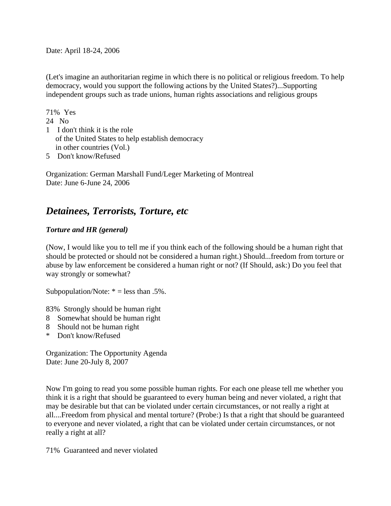Date: April 18-24, 2006

(Let's imagine an authoritarian regime in which there is no political or religious freedom. To help democracy, would you support the following actions by the United States?)...Supporting independent groups such as trade unions, human rights associations and religious groups

71% Yes 24 No 1 I don't think it is the role of the United States to help establish democracy in other countries (Vol.)

5 Don't know/Refused

Organization: German Marshall Fund/Leger Marketing of Montreal Date: June 6-June 24, 2006

# *Detainees, Terrorists, Torture, etc*

# *Torture and HR (general)*

(Now, I would like you to tell me if you think each of the following should be a human right that should be protected or should not be considered a human right.) Should...freedom from torture or abuse by law enforcement be considered a human right or not? (If Should, ask:) Do you feel that way strongly or somewhat?

Subpopulation/Note:  $* =$  less than .5%.

83% Strongly should be human right

- 8 Somewhat should be human right
- 8 Should not be human right
- \* Don't know/Refused

Organization: The Opportunity Agenda Date: June 20-July 8, 2007

Now I'm going to read you some possible human rights. For each one please tell me whether you think it is a right that should be guaranteed to every human being and never violated, a right that may be desirable but that can be violated under certain circumstances, or not really a right at all....Freedom from physical and mental torture? (Probe:) Is that a right that should be guaranteed to everyone and never violated, a right that can be violated under certain circumstances, or not really a right at all?

71% Guaranteed and never violated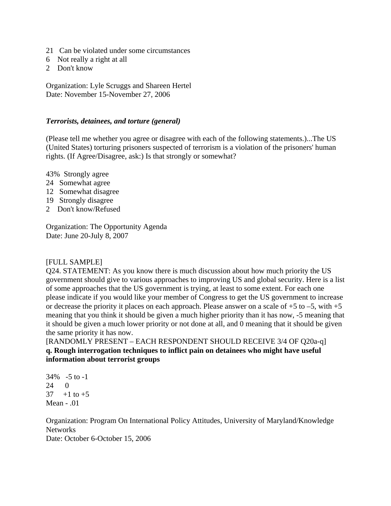- 21 Can be violated under some circumstances
- 6 Not really a right at all
- 2 Don't know

Organization: Lyle Scruggs and Shareen Hertel Date: November 15-November 27, 2006

#### *Terrorists, detainees, and torture (general)*

(Please tell me whether you agree or disagree with each of the following statements.)...The US (United States) torturing prisoners suspected of terrorism is a violation of the prisoners' human rights. (If Agree/Disagree, ask:) Is that strongly or somewhat?

43% Strongly agree

- 24 Somewhat agree
- 12 Somewhat disagree
- 19 Strongly disagree
- 2 Don't know/Refused

Organization: The Opportunity Agenda Date: June 20-July 8, 2007

#### [FULL SAMPLE]

Q24. STATEMENT: As you know there is much discussion about how much priority the US government should give to various approaches to improving US and global security. Here is a list of some approaches that the US government is trying, at least to some extent. For each one please indicate if you would like your member of Congress to get the US government to increase or decrease the priority it places on each approach. Please answer on a scale of  $+5$  to  $-5$ , with  $+5$ meaning that you think it should be given a much higher priority than it has now, -5 meaning that it should be given a much lower priority or not done at all, and 0 meaning that it should be given the same priority it has now.

[RANDOMLY PRESENT – EACH RESPONDENT SHOULD RECEIVE 3/4 OF Q20a-q] **q. Rough interrogation techniques to inflict pain on detainees who might have useful information about terrorist groups** 

34% -5 to -1 24 0  $37 + 1$  to  $+5$ Mean - .01

Organization: Program On International Policy Attitudes, University of Maryland/Knowledge **Networks** Date: October 6-October 15, 2006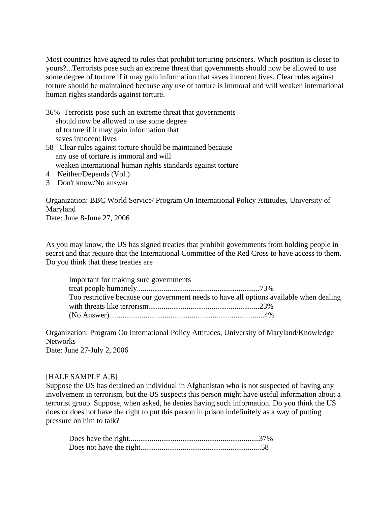Most countries have agreed to rules that prohibit torturing prisoners. Which position is closer to yours?...Terrorists pose such an extreme threat that governments should now be allowed to use some degree of torture if it may gain information that saves innocent lives. Clear rules against torture should be maintained because any use of torture is immoral and will weaken international human rights standards against torture.

- 36% Terrorists pose such an extreme threat that governments should now be allowed to use some degree of torture if it may gain information that saves innocent lives
- 58 Clear rules against torture should be maintained because any use of torture is immoral and will weaken international human rights standards against torture
- 4 Neither/Depends (Vol.)
- 3 Don't know/No answer

Organization: BBC World Service/ Program On International Policy Attitudes, University of Maryland Date: June 8-June 27, 2006

As you may know, the US has signed treaties that prohibit governments from holding people in secret and that require that the International Committee of the Red Cross to have access to them. Do you think that these treaties are

| Important for making sure governments                                                   |  |
|-----------------------------------------------------------------------------------------|--|
|                                                                                         |  |
| Too restrictive because our government needs to have all options available when dealing |  |
|                                                                                         |  |
|                                                                                         |  |

Organization: Program On International Policy Attitudes, University of Maryland/Knowledge **Networks** 

Date: June 27-July 2, 2006

### [HALF SAMPLE A,B]

Suppose the US has detained an individual in Afghanistan who is not suspected of having any involvement in terrorism, but the US suspects this person might have useful information about a terrorist group. Suppose, when asked, he denies having such information. Do you think the US does or does not have the right to put this person in prison indefinitely as a way of putting pressure on him to talk?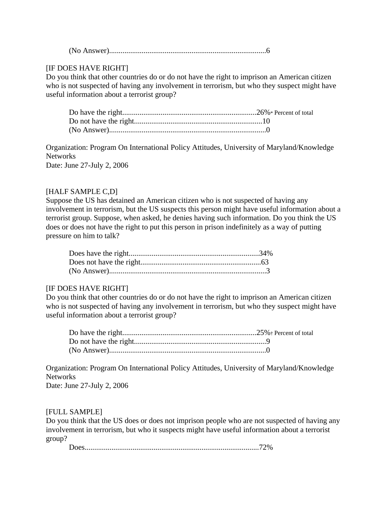(No Answer)..................................................................................6

# [IF DOES HAVE RIGHT]

Do you think that other countries do or do not have the right to imprison an American citizen who is not suspected of having any involvement in terrorism, but who they suspect might have useful information about a terrorist group?

Organization: Program On International Policy Attitudes, University of Maryland/Knowledge **Networks** Date: June 27-July 2, 2006

## [HALF SAMPLE C,D]

Suppose the US has detained an American citizen who is not suspected of having any involvement in terrorism, but the US suspects this person might have useful information about a terrorist group. Suppose, when asked, he denies having such information. Do you think the US does or does not have the right to put this person in prison indefinitely as a way of putting pressure on him to talk?

### [IF DOES HAVE RIGHT]

Do you think that other countries do or do not have the right to imprison an American citizen who is not suspected of having any involvement in terrorism, but who they suspect might have useful information about a terrorist group?

Organization: Program On International Policy Attitudes, University of Maryland/Knowledge Networks

Date: June 27-July 2, 2006

### [FULL SAMPLE]

Do you think that the US does or does not imprison people who are not suspected of having any involvement in terrorism, but who it suspects might have useful information about a terrorist group?

Does...........................................................................................72%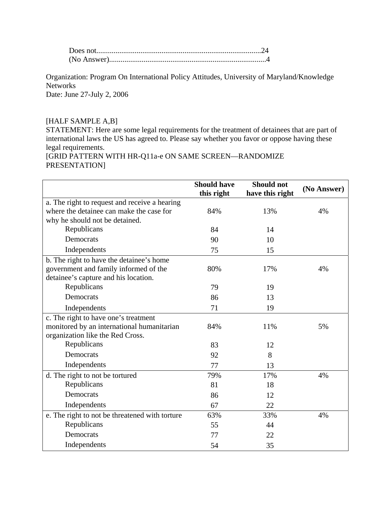Organization: Program On International Policy Attitudes, University of Maryland/Knowledge **Networks** Date: June 27-July 2, 2006

## [HALF SAMPLE A,B]

STATEMENT: Here are some legal requirements for the treatment of detainees that are part of international laws the US has agreed to. Please say whether you favor or oppose having these legal requirements. [GRID PATTERN WITH HR-Q11a-e ON SAME SCREEN—RANDOMIZE

PRESENTATION]

|                                                | <b>Should have</b> | <b>Should not</b> | (No Answer) |
|------------------------------------------------|--------------------|-------------------|-------------|
|                                                | this right         | have this right   |             |
| a. The right to request and receive a hearing  |                    |                   |             |
| where the detainee can make the case for       | 84%                | 13%               | 4%          |
| why he should not be detained.                 |                    |                   |             |
| Republicans                                    | 84                 | 14                |             |
| Democrats                                      | 90                 | 10                |             |
| Independents                                   | 75                 | 15                |             |
| b. The right to have the detainee's home       |                    |                   |             |
| government and family informed of the          | 80%                | 17%               | 4%          |
| detainee's capture and his location.           |                    |                   |             |
| Republicans                                    | 79                 | 19                |             |
| Democrats                                      | 86                 | 13                |             |
| Independents                                   | 71                 | 19                |             |
| c. The right to have one's treatment           |                    |                   |             |
| monitored by an international humanitarian     | 84%                | 11%               | 5%          |
| organization like the Red Cross.               |                    |                   |             |
| Republicans                                    | 83                 | 12                |             |
| Democrats                                      | 92                 | 8                 |             |
| Independents                                   | 77                 | 13                |             |
| d. The right to not be tortured                | 79%                | 17%               | 4%          |
| Republicans                                    | 81                 | 18                |             |
| Democrats                                      | 86                 | 12                |             |
| Independents                                   | 67                 | 22                |             |
| e. The right to not be threatened with torture | 63%                | 33%               | 4%          |
| Republicans                                    | 55                 | 44                |             |
| Democrats                                      | 77                 | 22                |             |
| Independents                                   | 54                 | 35                |             |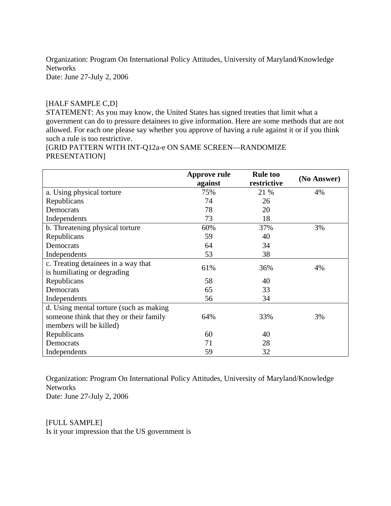Organization: Program On International Policy Attitudes, University of Maryland/Knowledge **Networks** Date: June 27-July 2, 2006

## [HALF SAMPLE C,D]

STATEMENT: As you may know, the United States has signed treaties that limit what a government can do to pressure detainees to give information. Here are some methods that are not allowed. For each one please say whether you approve of having a rule against it or if you think such a rule is too restrictive.

[GRID PATTERN WITH INT-Q12a-e ON SAME SCREEN—RANDOMIZE PRESENTATION]

|                                         | <b>Approve rule</b> | <b>Rule too</b> | (No Answer) |
|-----------------------------------------|---------------------|-----------------|-------------|
|                                         | against             | restrictive     |             |
| a. Using physical torture               | 75%                 | 21 %            | 4%          |
| Republicans                             | 74                  | 26              |             |
| Democrats                               | 78                  | 20              |             |
| Independents                            | 73                  | 18              |             |
| b. Threatening physical torture         | 60%                 | 37%             | 3%          |
| Republicans                             | 59                  | 40              |             |
| Democrats                               | 64                  | 34              |             |
| Independents                            | 53                  | 38              |             |
| c. Treating detainees in a way that     | 61%                 | 36%             | 4%          |
| is humiliating or degrading             |                     |                 |             |
| Republicans                             | 58                  | 40              |             |
| Democrats                               | 65                  | 33              |             |
| Independents                            | 56                  | 34              |             |
| d. Using mental torture (such as making |                     |                 |             |
| someone think that they or their family | 64%                 | 33%             | 3%          |
| members will be killed)                 |                     |                 |             |
| Republicans                             | 60                  | 40              |             |
| Democrats                               | 71                  | 28              |             |
| Independents                            | 59                  | 32              |             |

Organization: Program On International Policy Attitudes, University of Maryland/Knowledge **Networks** 

Date: June 27-July 2, 2006

[FULL SAMPLE] Is it your impression that the US government is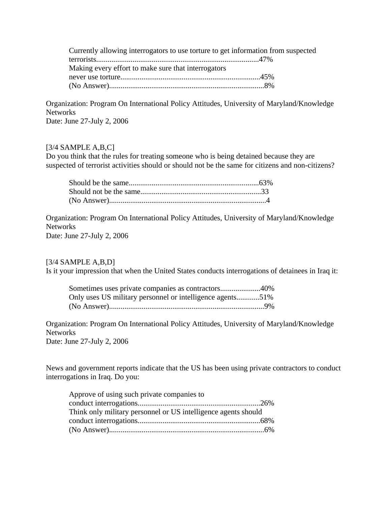| Currently allowing interrogators to use torture to get information from suspected |  |
|-----------------------------------------------------------------------------------|--|
|                                                                                   |  |
| Making every effort to make sure that interrogators                               |  |
|                                                                                   |  |
|                                                                                   |  |

Organization: Program On International Policy Attitudes, University of Maryland/Knowledge Networks

Date: June 27-July 2, 2006

# [3/4 SAMPLE A,B,C]

Do you think that the rules for treating someone who is being detained because they are suspected of terrorist activities should or should not be the same for citizens and non-citizens?

Organization: Program On International Policy Attitudes, University of Maryland/Knowledge **Networks** Date: June 27-July 2, 2006

 $[3/4$  SAMPLE A,B,D]

Is it your impression that when the United States conducts interrogations of detainees in Iraq it:

| Only uses US military personnel or intelligence agents51% |  |
|-----------------------------------------------------------|--|
|                                                           |  |

Organization: Program On International Policy Attitudes, University of Maryland/Knowledge Networks

Date: June 27-July 2, 2006

News and government reports indicate that the US has been using private contractors to conduct interrogations in Iraq. Do you:

| Approve of using such private companies to                     |  |
|----------------------------------------------------------------|--|
|                                                                |  |
| Think only military personnel or US intelligence agents should |  |
|                                                                |  |
|                                                                |  |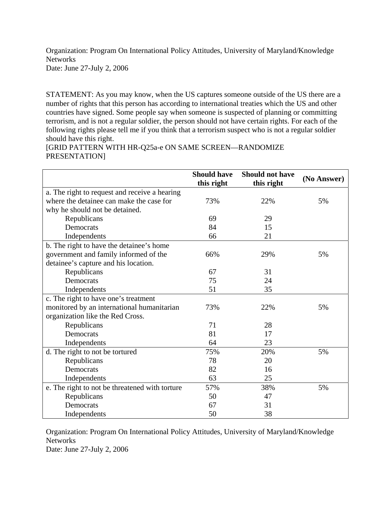Organization: Program On International Policy Attitudes, University of Maryland/Knowledge Networks

Date: June 27-July 2, 2006

STATEMENT: As you may know, when the US captures someone outside of the US there are a number of rights that this person has according to international treaties which the US and other countries have signed. Some people say when someone is suspected of planning or committing terrorism, and is not a regular soldier, the person should not have certain rights. For each of the following rights please tell me if you think that a terrorism suspect who is not a regular soldier should have this right.

[GRID PATTERN WITH HR-Q25a-e ON SAME SCREEN—RANDOMIZE PRESENTATION]

|                                                | <b>Should have</b><br>this right | <b>Should not have</b><br>this right | (No Answer) |
|------------------------------------------------|----------------------------------|--------------------------------------|-------------|
| a. The right to request and receive a hearing  |                                  |                                      |             |
| where the detainee can make the case for       | 73%                              | 22%                                  | 5%          |
| why he should not be detained.                 |                                  |                                      |             |
| Republicans                                    | 69                               | 29                                   |             |
| Democrats                                      | 84                               | 15                                   |             |
| Independents                                   | 66                               | 21                                   |             |
| b. The right to have the detainee's home       |                                  |                                      |             |
| government and family informed of the          | 66%                              | 29%                                  | 5%          |
| detainee's capture and his location.           |                                  |                                      |             |
| Republicans                                    | 67                               | 31                                   |             |
| Democrats                                      | 75                               | 24                                   |             |
| Independents                                   | 51                               | 35                                   |             |
| c. The right to have one's treatment           |                                  |                                      |             |
| monitored by an international humanitarian     | 73%                              | 22%                                  | 5%          |
| organization like the Red Cross.               |                                  |                                      |             |
| Republicans                                    | 71                               | 28                                   |             |
| Democrats                                      | 81                               | 17                                   |             |
| Independents                                   | 64                               | 23                                   |             |
| d. The right to not be tortured                | 75%                              | 20%                                  | 5%          |
| Republicans                                    | 78                               | 20                                   |             |
| Democrats                                      | 82                               | 16                                   |             |
| Independents                                   | 63                               | 25                                   |             |
| e. The right to not be threatened with torture | 57%                              | 38%                                  | 5%          |
| Republicans                                    | 50                               | 47                                   |             |
| Democrats                                      | 67                               | 31                                   |             |
| Independents                                   | 50                               | 38                                   |             |

Organization: Program On International Policy Attitudes, University of Maryland/Knowledge **Networks** Date: June 27-July 2, 2006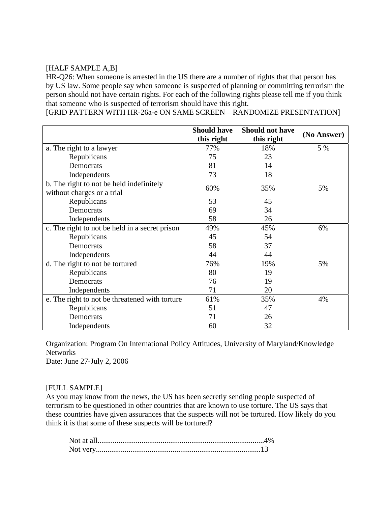## [HALF SAMPLE A,B]

HR-Q26: When someone is arrested in the US there are a number of rights that that person has by US law. Some people say when someone is suspected of planning or committing terrorism the person should not have certain rights. For each of the following rights please tell me if you think that someone who is suspected of terrorism should have this right.

[GRID PATTERN WITH HR-26a-e ON SAME SCREEN—RANDOMIZE PRESENTATION]

|                                                | <b>Should have</b> | <b>Should not have</b> |             |
|------------------------------------------------|--------------------|------------------------|-------------|
|                                                | this right         | this right             | (No Answer) |
| a. The right to a lawyer                       | 77%                | 18%                    | 5 %         |
| Republicans                                    | 75                 | 23                     |             |
| Democrats                                      | 81                 | 14                     |             |
| Independents                                   | 73                 | 18                     |             |
| b. The right to not be held indefinitely       | 60%                | 35%                    | 5%          |
| without charges or a trial                     |                    |                        |             |
| Republicans                                    | 53                 | 45                     |             |
| Democrats                                      | 69                 | 34                     |             |
| Independents                                   | 58                 | 26                     |             |
| c. The right to not be held in a secret prison | 49%                | 45%                    | 6%          |
| Republicans                                    | 45                 | 54                     |             |
| Democrats                                      | 58                 | 37                     |             |
| Independents                                   | 44                 | 44                     |             |
| d. The right to not be tortured                | 76%                | 19%                    | 5%          |
| Republicans                                    | 80                 | 19                     |             |
| Democrats                                      | 76                 | 19                     |             |
| Independents                                   | 71                 | 20                     |             |
| e. The right to not be threatened with torture | 61%                | 35%                    | 4%          |
| Republicans                                    | 51                 | 47                     |             |
| Democrats                                      | 71                 | 26                     |             |
| Independents                                   | 60                 | 32                     |             |

Organization: Program On International Policy Attitudes, University of Maryland/Knowledge Networks Date: June 27-July 2, 2006

### [FULL SAMPLE]

As you may know from the news, the US has been secretly sending people suspected of terrorism to be questioned in other countries that are known to use torture. The US says that these countries have given assurances that the suspects will not be tortured. How likely do you think it is that some of these suspects will be tortured?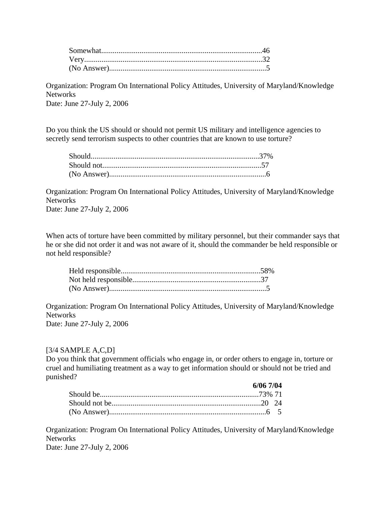Organization: Program On International Policy Attitudes, University of Maryland/Knowledge **Networks** Date: June 27-July 2, 2006

Do you think the US should or should not permit US military and intelligence agencies to secretly send terrorism suspects to other countries that are known to use torture?

Organization: Program On International Policy Attitudes, University of Maryland/Knowledge **Networks** Date: June 27-July 2, 2006

When acts of torture have been committed by military personnel, but their commander says that he or she did not order it and was not aware of it, should the commander be held responsible or not held responsible?

Organization: Program On International Policy Attitudes, University of Maryland/Knowledge **Networks** Date: June 27-July 2, 2006

#### $[3/4$  SAMPLE A,C,D]

Do you think that government officials who engage in, or order others to engage in, torture or cruel and humiliating treatment as a way to get information should or should not be tried and punished?

| 6/06 7/04 |  |
|-----------|--|
|           |  |
|           |  |
|           |  |

Organization: Program On International Policy Attitudes, University of Maryland/Knowledge Networks

Date: June 27-July 2, 2006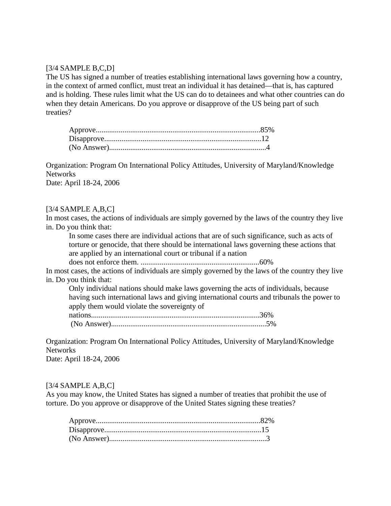#### $[3/4$  SAMPLE B,C,D]

The US has signed a number of treaties establishing international laws governing how a country, in the context of armed conflict, must treat an individual it has detained—that is, has captured and is holding. These rules limit what the US can do to detainees and what other countries can do when they detain Americans. Do you approve or disapprove of the US being part of such treaties?

Organization: Program On International Policy Attitudes, University of Maryland/Knowledge Networks

Date: April 18-24, 2006

#### $[3/4$  SAMPLE A,B,C]

In most cases, the actions of individuals are simply governed by the laws of the country they live in. Do you think that:

In some cases there are individual actions that are of such significance, such as acts of torture or genocide, that there should be international laws governing these actions that are applied by an international court or tribunal if a nation

does not enforce them. ..............................................................60%

In most cases, the actions of individuals are simply governed by the laws of the country they live in. Do you think that:

Only individual nations should make laws governing the acts of individuals, because having such international laws and giving international courts and tribunals the power to apply them would violate the sovereignty of

Organization: Program On International Policy Attitudes, University of Maryland/Knowledge Networks

Date: April 18-24, 2006

#### $[3/4$  SAMPLE A,B,C]

As you may know, the United States has signed a number of treaties that prohibit the use of torture. Do you approve or disapprove of the United States signing these treaties?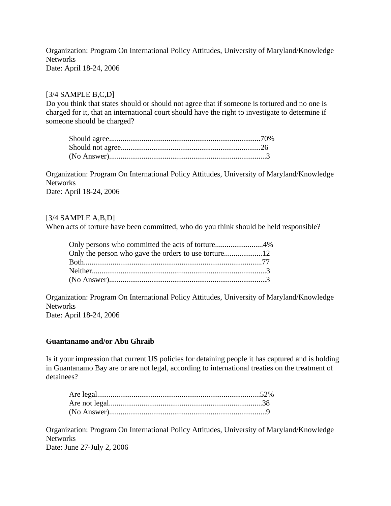Organization: Program On International Policy Attitudes, University of Maryland/Knowledge Networks Date: April 18-24, 2006

## [3/4 SAMPLE B,C,D]

Do you think that states should or should not agree that if someone is tortured and no one is charged for it, that an international court should have the right to investigate to determine if someone should be charged?

Organization: Program On International Policy Attitudes, University of Maryland/Knowledge Networks Date: April 18-24, 2006

### $[3/4$  SAMPLE A,B,D]

When acts of torture have been committed, who do you think should be held responsible?

| Only persons who committed the acts of torture4% |  |
|--------------------------------------------------|--|
|                                                  |  |
|                                                  |  |
|                                                  |  |
|                                                  |  |

Organization: Program On International Policy Attitudes, University of Maryland/Knowledge Networks Date: April 18-24, 2006

### **Guantanamo and/or Abu Ghraib**

Is it your impression that current US policies for detaining people it has captured and is holding in Guantanamo Bay are or are not legal, according to international treaties on the treatment of detainees?

Organization: Program On International Policy Attitudes, University of Maryland/Knowledge **Networks** Date: June 27-July 2, 2006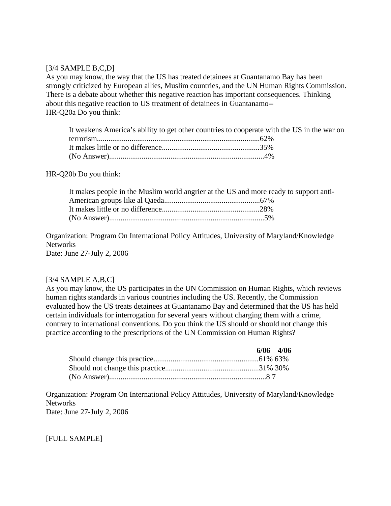#### $[3/4$  SAMPLE B,C,D]

As you may know, the way that the US has treated detainees at Guantanamo Bay has been strongly criticized by European allies, Muslim countries, and the UN Human Rights Commission. There is a debate about whether this negative reaction has important consequences. Thinking about this negative reaction to US treatment of detainees in Guantanamo-- HR-Q20a Do you think:

| It weakens America's ability to get other countries to cooperate with the US in the war on |  |
|--------------------------------------------------------------------------------------------|--|
|                                                                                            |  |
|                                                                                            |  |
|                                                                                            |  |

HR-Q20b Do you think:

| It makes people in the Muslim world angrier at the US and more ready to support anti- |  |
|---------------------------------------------------------------------------------------|--|
|                                                                                       |  |
|                                                                                       |  |
|                                                                                       |  |

Organization: Program On International Policy Attitudes, University of Maryland/Knowledge Networks Date: June 27-July 2, 2006

#### $[3/4$  SAMPLE A,B,C]

As you may know, the US participates in the UN Commission on Human Rights, which reviews human rights standards in various countries including the US. Recently, the Commission evaluated how the US treats detainees at Guantanamo Bay and determined that the US has held certain individuals for interrogation for several years without charging them with a crime, contrary to international conventions. Do you think the US should or should not change this practice according to the prescriptions of the UN Commission on Human Rights?

|  | $6/06$ 4/06 |
|--|-------------|
|  |             |
|  |             |
|  |             |

Organization: Program On International Policy Attitudes, University of Maryland/Knowledge Networks Date: June 27-July 2, 2006

[FULL SAMPLE]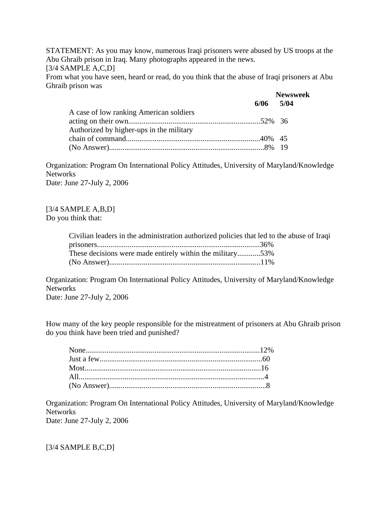STATEMENT: As you may know, numerous Iraqi prisoners were abused by US troops at the Abu Ghraib prison in Iraq. Many photographs appeared in the news.

 $[3/4$  SAMPLE A,C,D]

From what you have seen, heard or read, do you think that the abuse of Iraqi prisoners at Abu Ghraib prison was

|                                          |               | <b>Newsweek</b> |  |
|------------------------------------------|---------------|-----------------|--|
|                                          | $6/06$ $5/04$ |                 |  |
| A case of low ranking American soldiers  |               |                 |  |
|                                          |               |                 |  |
| Authorized by higher-ups in the military |               |                 |  |
|                                          |               |                 |  |
|                                          |               |                 |  |

Organization: Program On International Policy Attitudes, University of Maryland/Knowledge Networks Date: June 27-July 2, 2006

[3/4 SAMPLE A,B,D] Do you think that:

| Civilian leaders in the administration authorized policies that led to the abuse of Iraqi |  |
|-------------------------------------------------------------------------------------------|--|
|                                                                                           |  |
| These decisions were made entirely within the military53%                                 |  |
|                                                                                           |  |

Organization: Program On International Policy Attitudes, University of Maryland/Knowledge Networks

Date: June 27-July 2, 2006

How many of the key people responsible for the mistreatment of prisoners at Abu Ghraib prison do you think have been tried and punished?

Organization: Program On International Policy Attitudes, University of Maryland/Knowledge **Networks** Date: June 27-July 2, 2006

[3/4 SAMPLE B,C,D]